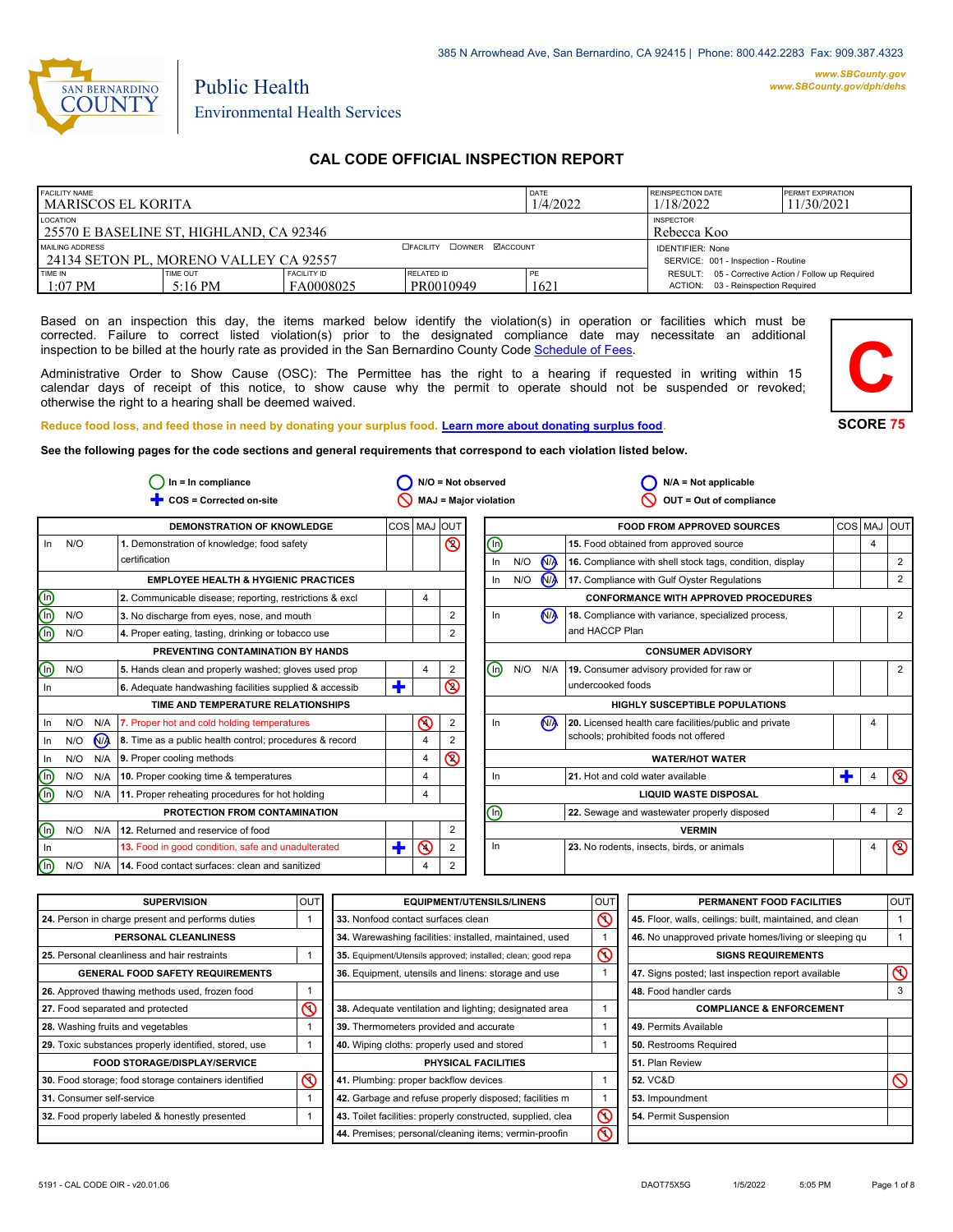

# Environmental Health Services

Public Health

### **CAL CODE OFFICIAL INSPECTION REPORT**

| <b>FACILITY NAME</b><br>I MARISCOS EL KORITA              |                               |                          | DATE<br>1/4/2022                 | <b>REINSPECTION DATE</b><br>1/18/2022 | <b>PERMIT EXPIRATION</b><br>11/30/2021                                                    |  |
|-----------------------------------------------------------|-------------------------------|--------------------------|----------------------------------|---------------------------------------|-------------------------------------------------------------------------------------------|--|
| LOCATION<br>25570 E BASELINE ST, HIGHLAND, CA 92346       |                               |                          |                                  |                                       | <b>INSPECTOR</b><br>Rebecca Koo                                                           |  |
| MAILING ADDRESS<br>24134 SETON PL. MORENO VALLEY CA 92557 |                               |                          | <b>OFACILITY COWNER MACCOUNT</b> |                                       | <b>IDENTIFIER: None</b><br>SERVICE: 001 - Inspection - Routine                            |  |
| TIME IN<br>1:07 PM                                        | TIME OUT<br>$5:16 \text{ PM}$ | FACILITY ID<br>FA0008025 | <b>RELATED ID</b><br>PR0010949   | PE<br>1621                            | RESULT: 05 - Corrective Action / Follow up Required<br>ACTION: 03 - Reinspection Required |  |

Based on an inspection this day, the items marked below identify the violation(s) in operation or facilities which must be corrected. Failure to correct listed violation(s) prior to the designated compliance date may necessitate an additional inspection to be billed at the hourly rate as provided in the San Bernardino County Co[de Schedule of Fees.](https://codelibrary.amlegal.com/codes/sanbernardino/latest/sanberncty_ca/0-0-0-122474#JD_16.0213B)

Administrative Order to Show Cause (OSC): The Permittee has the right to a hearing if requested in writing within 15 calendar days of receipt of this notice, to show cause why the permit to operate should not be suspended or revoked; otherwise the right to a hearing shall be deemed waived.



#### **Reduce food loss, and feed those in need by donating your surplus f[ood. Learn more about donating surplus food.](https://wp.sbcounty.gov/dph/programs/ehs/charitable-food-service/)**

**See the following pages for the code sections and general requirements that correspond to each violation listed below.**

|       | $In = In$ compliance |            |                                                         | $N/O = Not observed$ |                         | $N/A = Not$ applicable |                       |     |                      |                                                          |   |                |                |
|-------|----------------------|------------|---------------------------------------------------------|----------------------|-------------------------|------------------------|-----------------------|-----|----------------------|----------------------------------------------------------|---|----------------|----------------|
|       |                      |            | COS = Corrected on-site                                 |                      |                         |                        | MAJ = Major violation |     |                      | OUT = Out of compliance                                  |   |                |                |
|       |                      |            | <b>DEMONSTRATION OF KNOWLEDGE</b>                       | COS MAJ OUT          |                         |                        |                       |     |                      | <b>FOOD FROM APPROVED SOURCES</b>                        |   |                | COS MAJ OUT    |
| In    | N/O                  |            | 1. Demonstration of knowledge; food safety              |                      |                         | $\circledcirc$         | $\circledcirc$        |     |                      | 15. Food obtained from approved source                   |   | 4              |                |
|       |                      |            | certification                                           |                      |                         |                        | In                    | N/O | N <sub>A</sub>       | 16. Compliance with shell stock tags, condition, display |   |                | $\overline{2}$ |
|       |                      |            | <b>EMPLOYEE HEALTH &amp; HYGIENIC PRACTICES</b>         |                      |                         |                        | In                    | N/O | <b>N<sub>A</sub></b> | 17. Compliance with Gulf Oyster Regulations              |   |                | 2              |
| ee    |                      |            | 2. Communicable disease; reporting, restrictions & excl |                      | 4                       |                        |                       |     |                      | <b>CONFORMANCE WITH APPROVED PROCEDURES</b>              |   |                |                |
|       | N/O                  |            | 3. No discharge from eyes, nose, and mouth              |                      |                         | 2                      | In                    |     | <b>N<sub>A</sub></b> | 18. Compliance with variance, specialized process,       |   |                | 2              |
|       | N/O                  |            | 4. Proper eating, tasting, drinking or tobacco use      |                      |                         |                        |                       |     |                      | and HACCP Plan                                           |   |                |                |
|       |                      |            | PREVENTING CONTAMINATION BY HANDS                       |                      |                         |                        |                       |     |                      | <b>CONSUMER ADVISORY</b>                                 |   |                |                |
| ⋒     | N/O                  |            | 5. Hands clean and properly washed; gloves used prop    |                      | 4                       | 2                      | ⋒                     | N/O | N/A                  | 19. Consumer advisory provided for raw or                |   |                | $\overline{2}$ |
| In    |                      |            | 6. Adequate handwashing facilities supplied & accessib  | ٠                    |                         | $\circledcirc$         |                       |     |                      | undercooked foods                                        |   |                |                |
|       |                      |            | TIME AND TEMPERATURE RELATIONSHIPS                      |                      |                         |                        |                       |     |                      | <b>HIGHLY SUSCEPTIBLE POPULATIONS</b>                    |   |                |                |
| In    | N/O                  |            | N/A   7. Proper hot and cold holding temperatures       |                      | $\odot$                 | $\overline{2}$         | In                    |     | N <sub>A</sub>       | 20. Licensed health care facilities/public and private   |   |                |                |
| $\ln$ | N/O                  | $\bigcirc$ | 8. Time as a public health control; procedures & record |                      | $\overline{4}$          |                        |                       |     |                      | schools; prohibited foods not offered                    |   |                |                |
| In    | N/O                  | N/A        | 9. Proper cooling methods                               |                      | $\overline{4}$          | $\circledcirc$         |                       |     |                      | <b>WATER/HOT WATER</b>                                   |   |                |                |
| ⊚     | N/O                  | N/A        | 10. Proper cooking time & temperatures                  |                      | 4                       |                        | In                    |     |                      | 21. Hot and cold water available                         | ÷ |                | $\circledcirc$ |
| ൹     | N/O                  |            | N/A 11. Proper reheating procedures for hot holding     |                      | 4                       |                        |                       |     |                      | <b>LIQUID WASTE DISPOSAL</b>                             |   |                |                |
|       |                      |            | PROTECTION FROM CONTAMINATION                           |                      |                         |                        | $\circledcirc$        |     |                      | 22. Sewage and wastewater properly disposed              |   | $\overline{4}$ | $\overline{2}$ |
| ⋒     | N/O                  |            | N/A 12. Returned and reservice of food                  |                      |                         | 2                      |                       |     |                      | <b>VERMIN</b>                                            |   |                |                |
| -In   |                      |            | 13. Food in good condition, safe and unadulterated      | ╋                    | $\mathop{\circledcirc}$ | 2                      | In                    |     |                      | 23. No rodents, insects, birds, or animals               |   | 4              | $\circledcirc$ |
| (n)   | N/O                  | N/A        | 14. Food contact surfaces: clean and sanitized          |                      | $\overline{4}$          | $\overline{2}$         |                       |     |                      |                                                          |   |                |                |

| <b>SUPERVISION</b>                                    | <b>OUT</b> | <b>EQUIPMENT/UTENSILS/LINENS</b>                             | OU <sub>1</sub> | PERMANENT FOOD FACILITIES                                | <b>OUT</b> |
|-------------------------------------------------------|------------|--------------------------------------------------------------|-----------------|----------------------------------------------------------|------------|
| 24. Person in charge present and performs duties      |            | 33. Nonfood contact surfaces clean                           | ৎ               | 45. Floor, walls, ceilings: built, maintained, and clean |            |
| PERSONAL CLEANLINESS                                  |            | 34. Warewashing facilities: installed, maintained, used      |                 | 46. No unapproved private homes/living or sleeping qu    |            |
| 25. Personal cleanliness and hair restraints          |            | 35. Equipment/Utensils approved; installed; clean; good repa | $\mathcal{O}$   | <b>SIGNS REQUIREMENTS</b>                                |            |
| <b>GENERAL FOOD SAFETY REQUIREMENTS</b>               |            | 36. Equipment, utensils and linens: storage and use          |                 | 47. Signs posted; last inspection report available       | $\infty$   |
| 26. Approved thawing methods used, frozen food        |            |                                                              |                 | 48. Food handler cards                                   |            |
| 27. Food separated and protected                      | $\infty$   | 38. Adequate ventilation and lighting; designated area       |                 | <b>COMPLIANCE &amp; ENFORCEMENT</b>                      |            |
| 28. Washing fruits and vegetables                     |            | 39. Thermometers provided and accurate                       |                 | 49. Permits Available                                    |            |
| 29. Toxic substances properly identified, stored, use |            | 40. Wiping cloths: properly used and stored                  |                 | <b>50.</b> Restrooms Required                            |            |
| <b>FOOD STORAGE/DISPLAY/SERVICE</b>                   |            | <b>PHYSICAL FACILITIES</b>                                   |                 | 51. Plan Review                                          |            |
| 30. Food storage; food storage containers identified  | $\infty$   | 41. Plumbing: proper backflow devices                        |                 | <b>52. VC&amp;D</b>                                      |            |
| 31. Consumer self-service                             |            | 42. Garbage and refuse properly disposed; facilities m       |                 | 53. Impoundment                                          |            |
| 32. Food properly labeled & honestly presented        |            | 43. Toilet facilities: properly constructed, supplied, clea  | S               | 54. Permit Suspension                                    |            |
|                                                       |            | 44. Premises; personal/cleaning items; vermin-proofin        | ᠺ               |                                                          |            |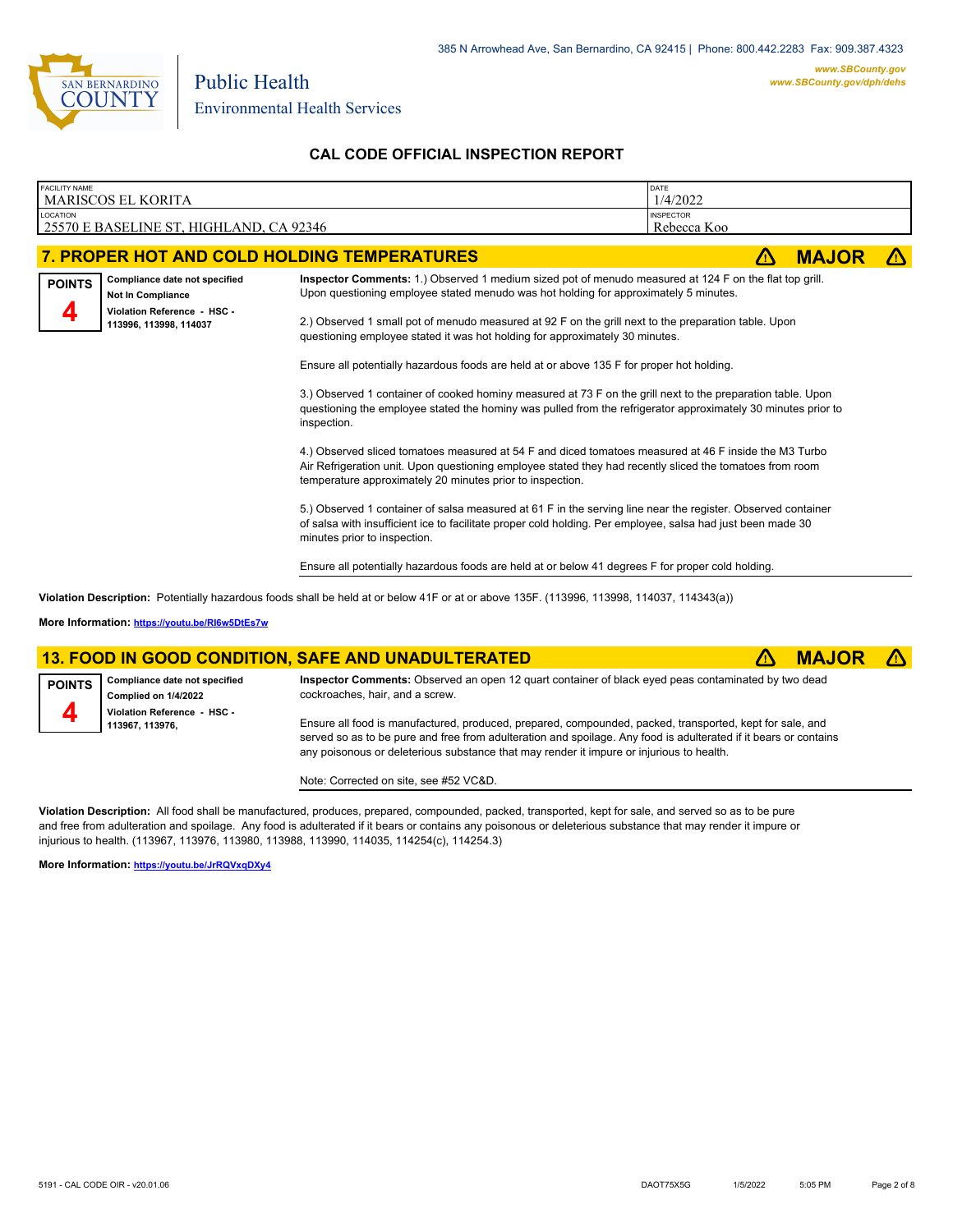

*www.SBCounty.gov*

Environmental Health Services

Public Health

### **CAL CODE OFFICIAL INSPECTION REPORT**

| <b>FACILITY NAME</b> | <b>MARISCOS EL KORITA</b>                                                                                          | DATE<br>1/4/2022                                                                                                                                                                                                                                                                                                                                                                                                                                                                                                                                                                                                                                                                                                                                                                                                                                                                                                                                                                                                                                                                                                                                                                                                                                                                                                                                                                         |  |  |  |  |  |
|----------------------|--------------------------------------------------------------------------------------------------------------------|------------------------------------------------------------------------------------------------------------------------------------------------------------------------------------------------------------------------------------------------------------------------------------------------------------------------------------------------------------------------------------------------------------------------------------------------------------------------------------------------------------------------------------------------------------------------------------------------------------------------------------------------------------------------------------------------------------------------------------------------------------------------------------------------------------------------------------------------------------------------------------------------------------------------------------------------------------------------------------------------------------------------------------------------------------------------------------------------------------------------------------------------------------------------------------------------------------------------------------------------------------------------------------------------------------------------------------------------------------------------------------------|--|--|--|--|--|
| <b>LOCATION</b>      | 25570 E BASELINE ST, HIGHLAND, CA 92346                                                                            | <b>INSPECTOR</b><br>Rebecca Koo                                                                                                                                                                                                                                                                                                                                                                                                                                                                                                                                                                                                                                                                                                                                                                                                                                                                                                                                                                                                                                                                                                                                                                                                                                                                                                                                                          |  |  |  |  |  |
|                      | <b>MAJOR</b><br>7. PROPER HOT AND COLD HOLDING TEMPERATURES                                                        |                                                                                                                                                                                                                                                                                                                                                                                                                                                                                                                                                                                                                                                                                                                                                                                                                                                                                                                                                                                                                                                                                                                                                                                                                                                                                                                                                                                          |  |  |  |  |  |
| <b>POINTS</b>        | Compliance date not specified<br><b>Not In Compliance</b><br>Violation Reference - HSC -<br>113996, 113998, 114037 | Inspector Comments: 1.) Observed 1 medium sized pot of menudo measured at 124 F on the flat top grill.<br>Upon questioning employee stated menudo was hot holding for approximately 5 minutes.<br>2.) Observed 1 small pot of menudo measured at 92 F on the grill next to the preparation table. Upon<br>questioning employee stated it was hot holding for approximately 30 minutes.<br>Ensure all potentially hazardous foods are held at or above 135 F for proper hot holding.<br>3.) Observed 1 container of cooked hominy measured at 73 F on the grill next to the preparation table. Upon<br>questioning the employee stated the hominy was pulled from the refrigerator approximately 30 minutes prior to<br>inspection.<br>4.) Observed sliced tomatoes measured at 54 F and diced tomatoes measured at 46 F inside the M3 Turbo<br>Air Refrigeration unit. Upon questioning employee stated they had recently sliced the tomatoes from room<br>temperature approximately 20 minutes prior to inspection.<br>5.) Observed 1 container of salsa measured at 61 F in the serving line near the register. Observed container<br>of salsa with insufficient ice to facilitate proper cold holding. Per employee, salsa had just been made 30<br>minutes prior to inspection.<br>Ensure all potentially hazardous foods are held at or below 41 degrees F for proper cold holding. |  |  |  |  |  |
|                      |                                                                                                                    |                                                                                                                                                                                                                                                                                                                                                                                                                                                                                                                                                                                                                                                                                                                                                                                                                                                                                                                                                                                                                                                                                                                                                                                                                                                                                                                                                                                          |  |  |  |  |  |

**Violation Description:** Potentially hazardous foods shall be held at or below 41F or at or above 135F. (113996, 113998, 114037, 114343(a))

**More Information: <https://youtu.be/RI6w5DtEs7w>**

### **13. FOOD IN GOOD CONDITION, SAFE AND UNADULTERATED** ê**! MAJOR** ê**!**

**Compliance date not specified Complied on 1/4/2022 Violation Reference - HSC - 113967, 113976, POINTS 4 Inspector Comments:** Observed an open 12 quart container of black eyed peas contaminated by two dead cockroaches, hair, and a screw. Ensure all food is manufactured, produced, prepared, compounded, packed, transported, kept for sale, and served so as to be pure and free from adulteration and spoilage. Any food is adulterated if it bears or contains any poisonous or deleterious substance that may render it impure or injurious to health.

Note: Corrected on site, see #52 VC&D.

**Violation Description:** All food shall be manufactured, produces, prepared, compounded, packed, transported, kept for sale, and served so as to be pure and free from adulteration and spoilage. Any food is adulterated if it bears or contains any poisonous or deleterious substance that may render it impure or injurious to health. (113967, 113976, 113980, 113988, 113990, 114035, 114254(c), 114254.3)

**More Information: <https://youtu.be/JrRQVxqDXy4>**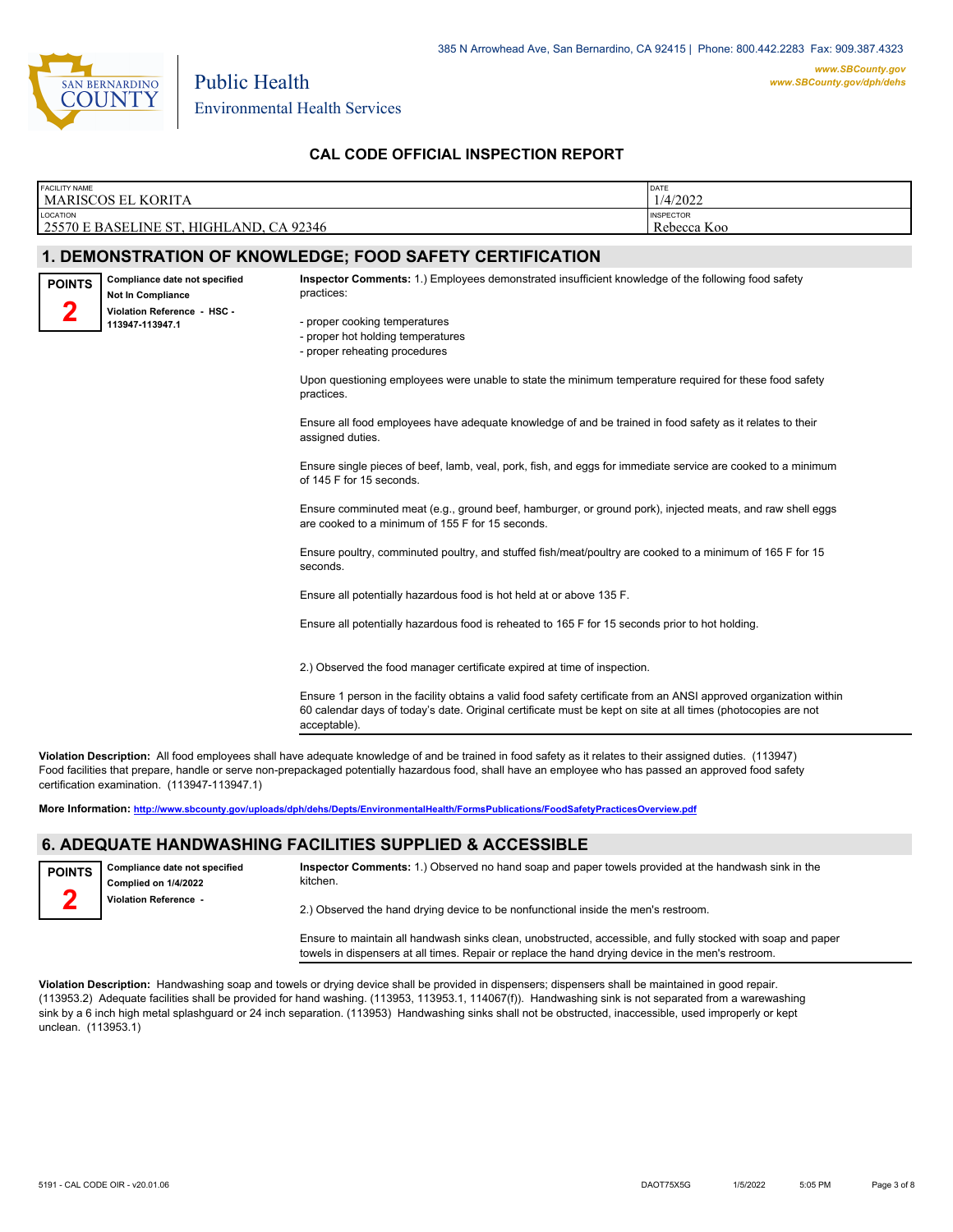

Environmental Health Services

Public Health

### **CAL CODE OFFICIAL INSPECTION REPORT**

| <b>FACILITY NAME</b> | <b>MARISCOS EL KORITA</b>                                                                            |                                                                                                                                                                                                                                                                                                                                                                                                                                                                                                                                                                                                                                                                                                                                                                                                                                                           | DATE<br>1/4/2022                |
|----------------------|------------------------------------------------------------------------------------------------------|-----------------------------------------------------------------------------------------------------------------------------------------------------------------------------------------------------------------------------------------------------------------------------------------------------------------------------------------------------------------------------------------------------------------------------------------------------------------------------------------------------------------------------------------------------------------------------------------------------------------------------------------------------------------------------------------------------------------------------------------------------------------------------------------------------------------------------------------------------------|---------------------------------|
| LOCATION             | 25570 E BASELINE ST, HIGHLAND, CA 92346                                                              |                                                                                                                                                                                                                                                                                                                                                                                                                                                                                                                                                                                                                                                                                                                                                                                                                                                           | <b>INSPECTOR</b><br>Rebecca Koo |
|                      |                                                                                                      |                                                                                                                                                                                                                                                                                                                                                                                                                                                                                                                                                                                                                                                                                                                                                                                                                                                           |                                 |
| <b>POINTS</b>        | Compliance date not specified<br>Not In Compliance<br>Violation Reference - HSC -<br>113947-113947.1 | 1. DEMONSTRATION OF KNOWLEDGE; FOOD SAFETY CERTIFICATION<br>Inspector Comments: 1.) Employees demonstrated insufficient knowledge of the following food safety<br>practices:<br>- proper cooking temperatures<br>- proper hot holding temperatures<br>- proper reheating procedures<br>Upon questioning employees were unable to state the minimum temperature required for these food safety<br>practices.<br>Ensure all food employees have adequate knowledge of and be trained in food safety as it relates to their<br>assigned duties.<br>Ensure single pieces of beef, lamb, veal, pork, fish, and eggs for immediate service are cooked to a minimum<br>of 145 F for 15 seconds.<br>Ensure comminuted meat (e.g., ground beef, hamburger, or ground pork), injected meats, and raw shell eggs<br>are cooked to a minimum of 155 F for 15 seconds. |                                 |
|                      |                                                                                                      | Ensure poultry, comminuted poultry, and stuffed fish/meat/poultry are cooked to a minimum of 165 F for 15<br>seconds.<br>Ensure all potentially hazardous food is hot held at or above 135 F.<br>Ensure all potentially hazardous food is reheated to 165 F for 15 seconds prior to hot holding.<br>2.) Observed the food manager certificate expired at time of inspection.<br>Ensure 1 person in the facility obtains a valid food safety certificate from an ANSI approved organization within<br>60 calendar days of today's date. Original certificate must be kept on site at all times (photocopies are not                                                                                                                                                                                                                                        |                                 |
|                      |                                                                                                      | acceptable).                                                                                                                                                                                                                                                                                                                                                                                                                                                                                                                                                                                                                                                                                                                                                                                                                                              |                                 |

**Violation Description:** All food employees shall have adequate knowledge of and be trained in food safety as it relates to their assigned duties. (113947) Food facilities that prepare, handle or serve non-prepackaged potentially hazardous food, shall have an employee who has passed an approved food safety certification examination. (113947-113947.1)

**More Information: <http://www.sbcounty.gov/uploads/dph/dehs/Depts/EnvironmentalHealth/FormsPublications/FoodSafetyPracticesOverview.pdf>**

### **6. ADEQUATE HANDWASHING FACILITIES SUPPLIED & ACCESSIBLE**

| <b>POINTS</b> | Compliance date not specified<br>Complied on 1/4/2022 | Inspector Comments: 1.) Observed no hand soap and paper towels provided at the handwash sink in the<br>kitchen. |
|---------------|-------------------------------------------------------|-----------------------------------------------------------------------------------------------------------------|
|               | Violation Reference -                                 | 2.) Observed the hand drying device to be nonfunctional inside the men's restroom.                              |

Ensure to maintain all handwash sinks clean, unobstructed, accessible, and fully stocked with soap and paper towels in dispensers at all times. Repair or replace the hand drying device in the men's restroom.

**Violation Description:** Handwashing soap and towels or drying device shall be provided in dispensers; dispensers shall be maintained in good repair. (113953.2) Adequate facilities shall be provided for hand washing. (113953, 113953.1, 114067(f)). Handwashing sink is not separated from a warewashing sink by a 6 inch high metal splashguard or 24 inch separation. (113953) Handwashing sinks shall not be obstructed, inaccessible, used improperly or kept unclean. (113953.1)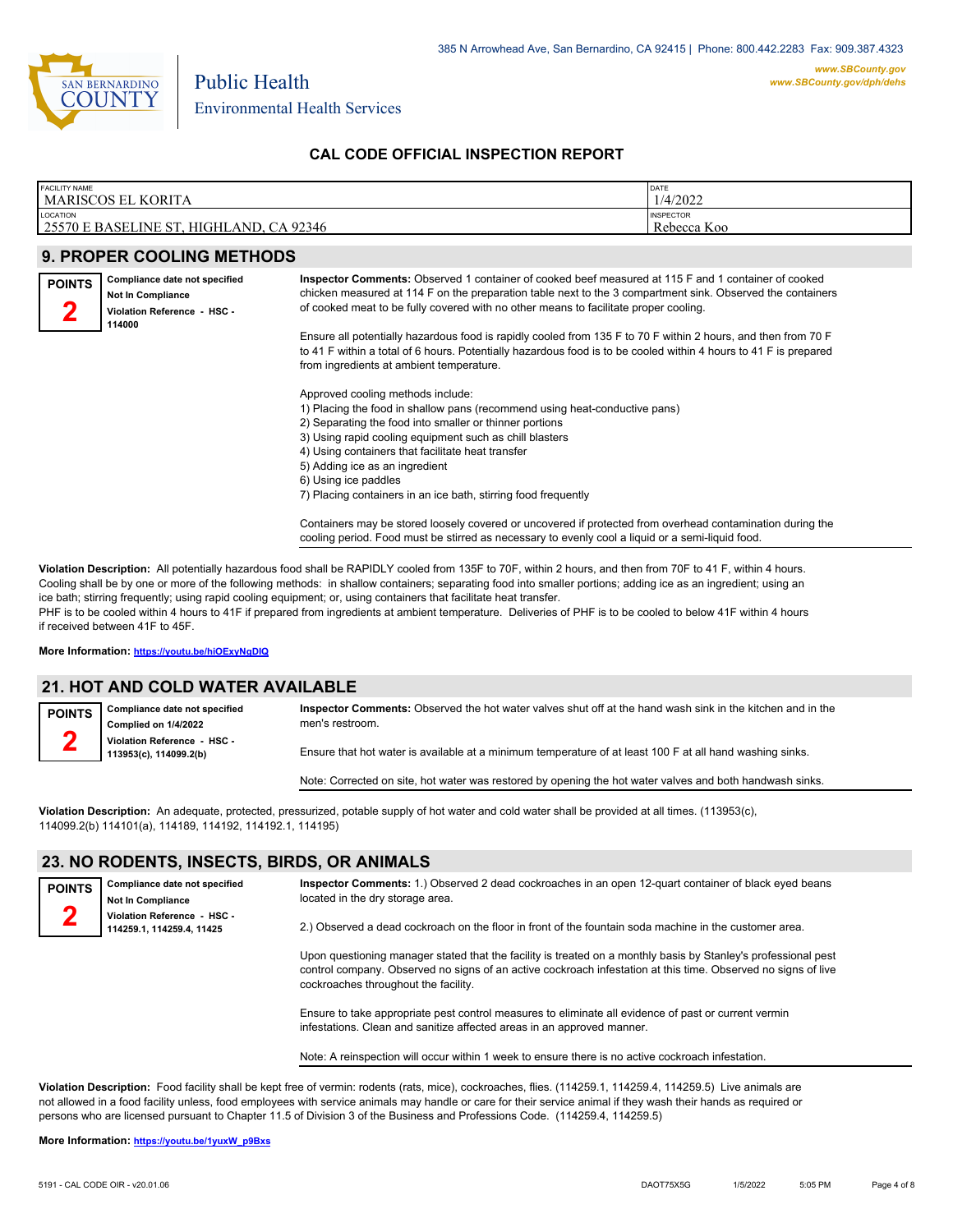

| <b>FACILITY NAME</b>                    | DATE             |
|-----------------------------------------|------------------|
| MARISCOS EL KORITA                      | 1/4/2022         |
| <b>LOCATION</b>                         | <b>INSPECTOR</b> |
| 25570 E BASELINE ST, HIGHLAND, CA 92346 | Rebecca Koo      |
|                                         |                  |

#### **9. PROPER COOLING METHODS Compliance date not specified Not In Compliance Violation Reference - HSC - 114000 POINTS 2 Inspector Comments:** Observed 1 container of cooked beef measured at 115 F and 1 container of cooked chicken measured at 114 F on the preparation table next to the 3 compartment sink. Observed the containers of cooked meat to be fully covered with no other means to facilitate proper cooling. Ensure all potentially hazardous food is rapidly cooled from 135 F to 70 F within 2 hours, and then from 70 F to 41 F within a total of 6 hours. Potentially hazardous food is to be cooled within 4 hours to 41 F is prepared from ingredients at ambient temperature. Approved cooling methods include: 1) Placing the food in shallow pans (recommend using heat-conductive pans) 2) Separating the food into smaller or thinner portions 3) Using rapid cooling equipment such as chill blasters 4) Using containers that facilitate heat transfer 5) Adding ice as an ingredient 6) Using ice paddles 7) Placing containers in an ice bath, stirring food frequently

Containers may be stored loosely covered or uncovered if protected from overhead contamination during the cooling period. Food must be stirred as necessary to evenly cool a liquid or a semi-liquid food.

**Violation Description:** All potentially hazardous food shall be RAPIDLY cooled from 135F to 70F, within 2 hours, and then from 70F to 41 F, within 4 hours. Cooling shall be by one or more of the following methods: in shallow containers; separating food into smaller portions; adding ice as an ingredient; using an ice bath; stirring frequently; using rapid cooling equipment; or, using containers that facilitate heat transfer. PHF is to be cooled within 4 hours to 41F if prepared from ingredients at ambient temperature. Deliveries of PHF is to be cooled to below 41F within 4 hours if received between 41F to 45F.

**More Information: <https://youtu.be/hiOExyNgDIQ>**

#### **21. HOT AND COLD WATER AVAILABLE**

**Compliance date not specified Complied on 1/4/2022 Violation Reference - HSC - 113953(c), 114099.2(b) POINTS 2 Inspector Comments:** Observed the hot water valves shut off at the hand wash sink in the kitchen and in the men's restroom. Ensure that hot water is available at a minimum temperature of at least 100 F at all hand washing sinks.

Note: Corrected on site, hot water was restored by opening the hot water valves and both handwash sinks.

**Violation Description:** An adequate, protected, pressurized, potable supply of hot water and cold water shall be provided at all times. (113953(c), 114099.2(b) 114101(a), 114189, 114192, 114192.1, 114195)

#### **23. NO RODENTS, INSECTS, BIRDS, OR ANIMALS**

| <b>POINTS</b> | Compliance date not specified<br><b>Not In Compliance</b> | Inspector Comments: 1.) Observed 2 dead cockroaches in an open 12-quart container of black eyed beans<br>located in the dry storage area.                                                                                                                               |
|---------------|-----------------------------------------------------------|-------------------------------------------------------------------------------------------------------------------------------------------------------------------------------------------------------------------------------------------------------------------------|
|               | Violation Reference - HSC -<br>114259.1, 114259.4, 11425  | 2.) Observed a dead cockroach on the floor in front of the fountain soda machine in the customer area.                                                                                                                                                                  |
|               |                                                           | Upon questioning manager stated that the facility is treated on a monthly basis by Stanley's professional pest<br>control company. Observed no signs of an active cockroach infestation at this time. Observed no signs of live<br>cockroaches throughout the facility. |
|               |                                                           | Ensure to take appropriate pest control measures to eliminate all evidence of past or current vermin<br>infestations. Clean and sanitize affected areas in an approved manner.                                                                                          |

Note: A reinspection will occur within 1 week to ensure there is no active cockroach infestation.

**Violation Description:** Food facility shall be kept free of vermin: rodents (rats, mice), cockroaches, flies. (114259.1, 114259.4, 114259.5) Live animals are not allowed in a food facility unless, food employees with service animals may handle or care for their service animal if they wash their hands as required or persons who are licensed pursuant to Chapter 11.5 of Division 3 of the Business and Professions Code. (114259.4, 114259.5)

**More Information: [https://youtu.be/1yuxW\\_p9Bxs](https://youtu.be/1yuxW_p9Bxs)**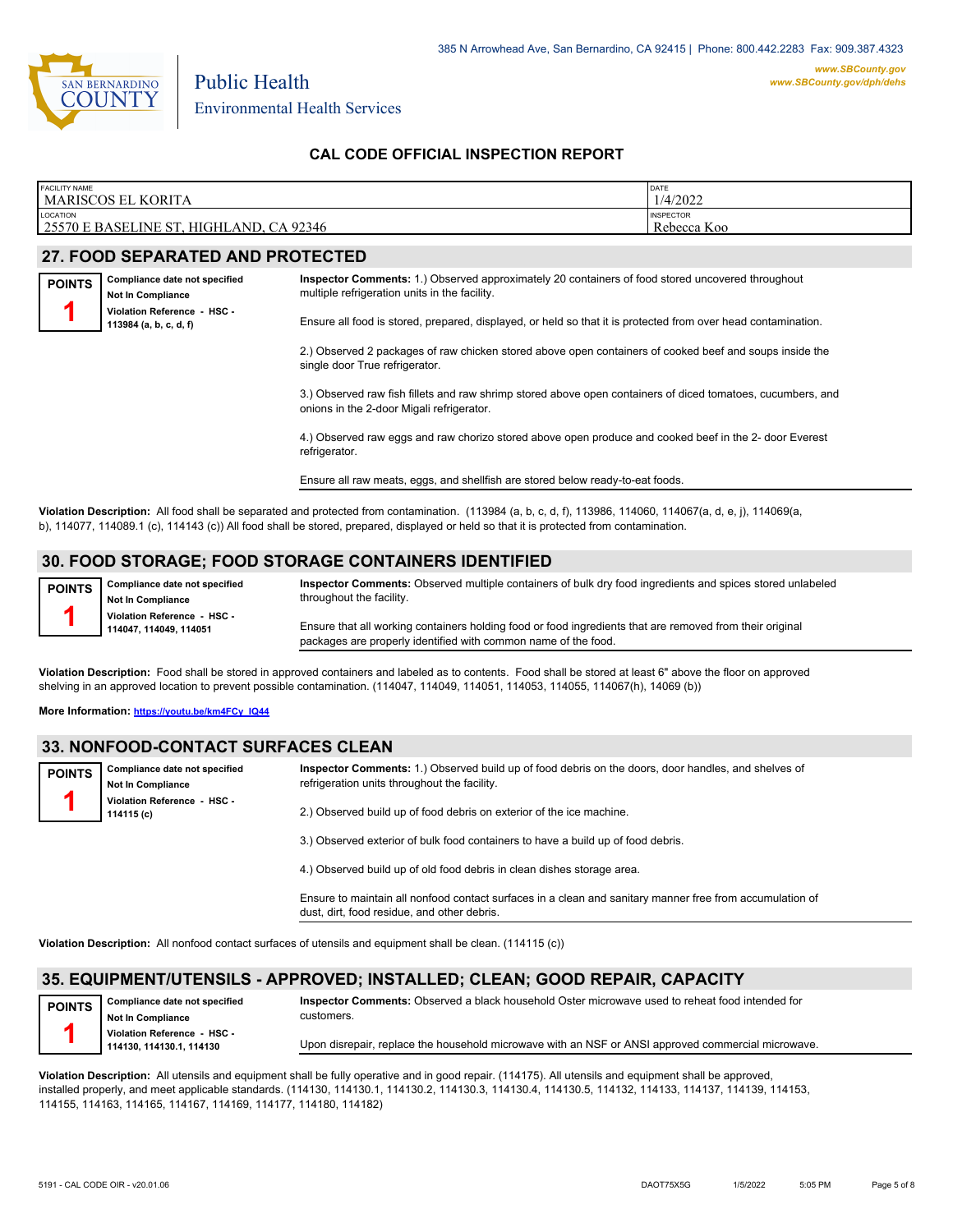

|                                                                                        | <b>FACILITY NAME</b>                    | <b>MARISCOS EL KORITA</b>                                 | DATE<br>1/4/2022                                                                                                                                  |  |  |  |
|----------------------------------------------------------------------------------------|-----------------------------------------|-----------------------------------------------------------|---------------------------------------------------------------------------------------------------------------------------------------------------|--|--|--|
| LOCATION<br><b>INSPECTOR</b><br>25570 E BASELINE ST, HIGHLAND, CA 92346<br>Rebecca Koo |                                         |                                                           |                                                                                                                                                   |  |  |  |
|                                                                                        | <b>27. FOOD SEPARATED AND PROTECTED</b> |                                                           |                                                                                                                                                   |  |  |  |
|                                                                                        | <b>POINTS</b>                           | Compliance date not specified<br><b>Not In Compliance</b> | Inspector Comments: 1.) Observed approximately 20 containers of food stored uncovered throughout<br>multiple refrigeration units in the facility. |  |  |  |
|                                                                                        |                                         | Violation Reference - HSC -<br>113984 (a, b, c, d, f)     | Ensure all food is stored, prepared, displayed, or held so that it is protected from over head contamination.                                     |  |  |  |

2.) Observed 2 packages of raw chicken stored above open containers of cooked beef and soups inside the single door True refrigerator.

3.) Observed raw fish fillets and raw shrimp stored above open containers of diced tomatoes, cucumbers, and onions in the 2-door Migali refrigerator.

4.) Observed raw eggs and raw chorizo stored above open produce and cooked beef in the 2- door Everest refrigerator.

Ensure all raw meats, eggs, and shellfish are stored below ready-to-eat foods.

**Violation Description:** All food shall be separated and protected from contamination. (113984 (a, b, c, d, f), 113986, 114060, 114067(a, d, e, j), 114069(a, b), 114077, 114089.1 (c), 114143 (c)) All food shall be stored, prepared, displayed or held so that it is protected from contamination.

### **30. FOOD STORAGE; FOOD STORAGE CONTAINERS IDENTIFIED**

**Compliance date not specified Not In Compliance Violation Reference - HSC - 114047, 114049, 114051 POINTS 1**

**Inspector Comments:** Observed multiple containers of bulk dry food ingredients and spices stored unlabeled throughout the facility.

Ensure that all working containers holding food or food ingredients that are removed from their original packages are properly identified with common name of the food.

**Violation Description:** Food shall be stored in approved containers and labeled as to contents. Food shall be stored at least 6" above the floor on approved shelving in an approved location to prevent possible contamination. (114047, 114049, 114051, 114053, 114055, 114067(h), 14069 (b))

**More Information: [https://youtu.be/km4FCy\\_IQ44](https://youtu.be/km4FCy_IQ44)**

**114115 (c)**

**Compliance date not specified Not In Compliance Violation Reference - HSC -** 

#### **33. NONFOOD-CONTACT SURFACES CLEAN**

**POINTS 1**

**Inspector Comments:** 1.) Observed build up of food debris on the doors, door handles, and shelves of refrigeration units throughout the facility.

- 2.) Observed build up of food debris on exterior of the ice machine.
- 3.) Observed exterior of bulk food containers to have a build up of food debris.
- 4.) Observed build up of old food debris in clean dishes storage area.

Ensure to maintain all nonfood contact surfaces in a clean and sanitary manner free from accumulation of dust, dirt, food residue, and other debris.

**Violation Description:** All nonfood contact surfaces of utensils and equipment shall be clean. (114115 (c))

### **35. EQUIPMENT/UTENSILS - APPROVED; INSTALLED; CLEAN; GOOD REPAIR, CAPACITY**

**Compliance date not specified Not In Compliance Violation Reference - HSC - 114130, 114130.1, 114130 POINTS 1 Inspector Comments:** Observed a black household Oster microwave used to reheat food intended for customers. Upon disrepair, replace the household microwave with an NSF or ANSI approved commercial microwave.

**Violation Description:** All utensils and equipment shall be fully operative and in good repair. (114175). All utensils and equipment shall be approved, installed properly, and meet applicable standards. (114130, 114130.1, 114130.2, 114130.3, 114130.4, 114130.5, 114132, 114133, 114137, 114139, 114153, 114155, 114163, 114165, 114167, 114169, 114177, 114180, 114182)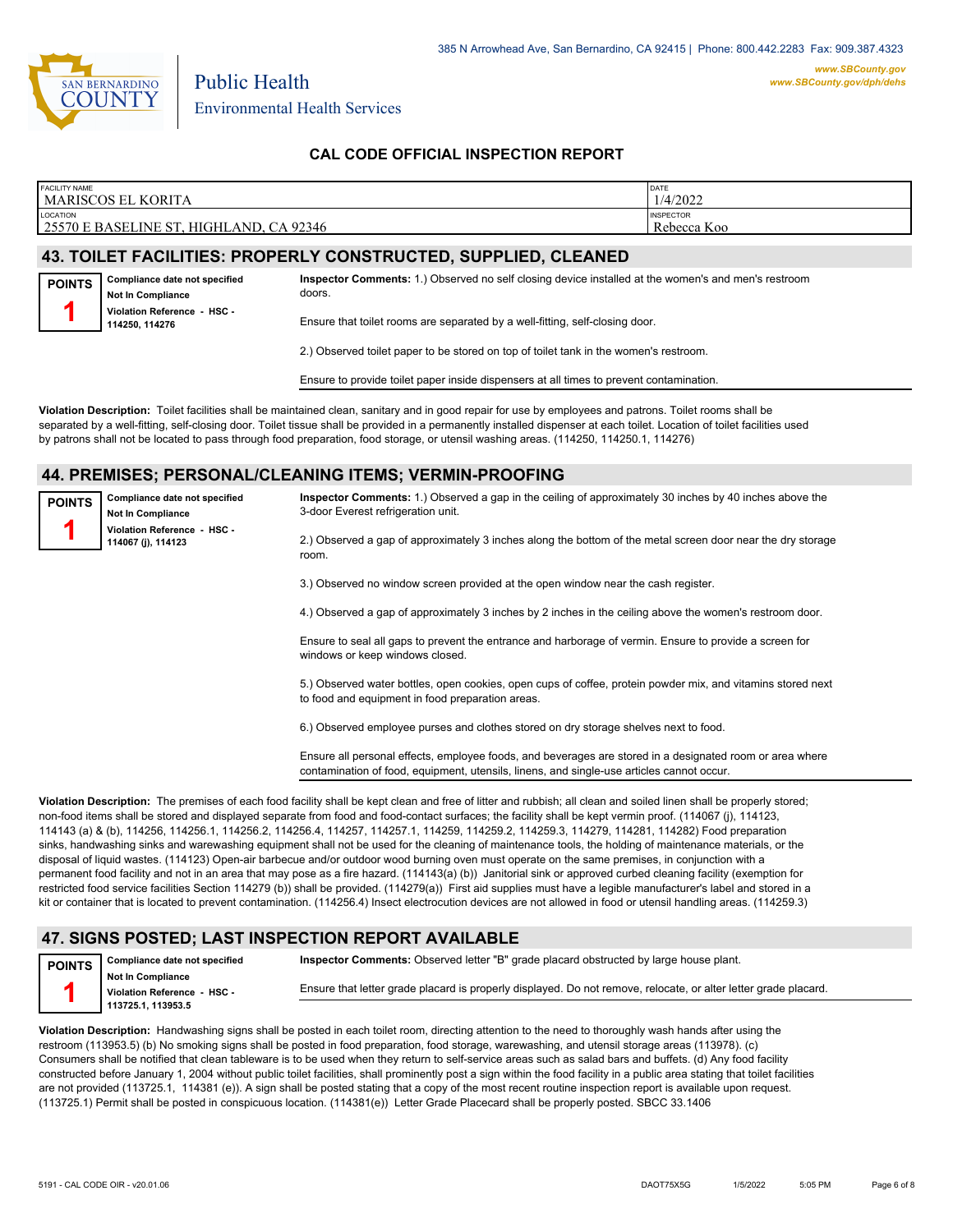

**POINTS 1**

**Not In Compliance**

**114250, 114276**

Environmental Health Services

Public Health

### **CAL CODE OFFICIAL INSPECTION REPORT**

| <b>FACILITY NAME</b>                                                | DATE             |  |  |
|---------------------------------------------------------------------|------------------|--|--|
| MARISCOS EL KORITA                                                  | 1/4/2022         |  |  |
| <b>LOCATION</b>                                                     | <b>INSPECTOR</b> |  |  |
| 25570 E BASELINE ST, HIGHLAND, CA 92346                             | Rebecca Koo      |  |  |
|                                                                     |                  |  |  |
| <u>12 TAILET EACH ITIES, DRADEDI V CANSTRUCTER SURBLIER CLEANER</u> |                  |  |  |

#### **43. TOILET FACILITIES: PROPERLY CONSTRUCTED, SUPPLIED, CLEANED**

**Compliance date not specified Violation Reference - HSC - Inspector Comments:** 1.) Observed no self closing device installed at the women's and men's restroom doors. Ensure that toilet rooms are separated by a well-fitting, self-closing door.

2.) Observed toilet paper to be stored on top of toilet tank in the women's restroom.

Ensure to provide toilet paper inside dispensers at all times to prevent contamination.

**Violation Description:** Toilet facilities shall be maintained clean, sanitary and in good repair for use by employees and patrons. Toilet rooms shall be separated by a well-fitting, self-closing door. Toilet tissue shall be provided in a permanently installed dispenser at each toilet. Location of toilet facilities used by patrons shall not be located to pass through food preparation, food storage, or utensil washing areas. (114250, 114250.1, 114276)

### **44. PREMISES; PERSONAL/CLEANING ITEMS; VERMIN-PROOFING**

**Compliance date not specified Not In Compliance Violation Reference - HSC - 114067 (j), 114123 POINTS 1 Inspector Comments:** 1.) Observed a gap in the ceiling of approximately 30 inches by 40 inches above the 3-door Everest refrigeration unit. 2.) Observed a gap of approximately 3 inches along the bottom of the metal screen door near the dry storage room. 3.) Observed no window screen provided at the open window near the cash register.

4.) Observed a gap of approximately 3 inches by 2 inches in the ceiling above the women's restroom door.

Ensure to seal all gaps to prevent the entrance and harborage of vermin. Ensure to provide a screen for windows or keep windows closed.

5.) Observed water bottles, open cookies, open cups of coffee, protein powder mix, and vitamins stored next to food and equipment in food preparation areas.

6.) Observed employee purses and clothes stored on dry storage shelves next to food.

Ensure all personal effects, employee foods, and beverages are stored in a designated room or area where contamination of food, equipment, utensils, linens, and single-use articles cannot occur.

**Violation Description:** The premises of each food facility shall be kept clean and free of litter and rubbish; all clean and soiled linen shall be properly stored; non-food items shall be stored and displayed separate from food and food-contact surfaces; the facility shall be kept vermin proof. (114067 (j), 114123, 114143 (a) & (b), 114256, 114256.1, 114256.2, 114256.4, 114257, 114257.1, 114259, 114259.2, 114259.3, 114279, 114281, 114282) Food preparation sinks, handwashing sinks and warewashing equipment shall not be used for the cleaning of maintenance tools, the holding of maintenance materials, or the disposal of liquid wastes. (114123) Open-air barbecue and/or outdoor wood burning oven must operate on the same premises, in conjunction with a permanent food facility and not in an area that may pose as a fire hazard. (114143(a) (b)) Janitorial sink or approved curbed cleaning facility (exemption for restricted food service facilities Section 114279 (b)) shall be provided. (114279(a)) First aid supplies must have a legible manufacturer's label and stored in a kit or container that is located to prevent contamination. (114256.4) Insect electrocution devices are not allowed in food or utensil handling areas. (114259.3)

### **47. SIGNS POSTED; LAST INSPECTION REPORT AVAILABLE**

**Compliance date not specified POINTS 1**

**Inspector Comments:** Observed letter "B" grade placard obstructed by large house plant.

**Not In Compliance Violation Reference - HSC - 113725.1, 113953.5**

Ensure that letter grade placard is properly displayed. Do not remove, relocate, or alter letter grade placard.

**Violation Description:** Handwashing signs shall be posted in each toilet room, directing attention to the need to thoroughly wash hands after using the restroom (113953.5) (b) No smoking signs shall be posted in food preparation, food storage, warewashing, and utensil storage areas (113978). (c) Consumers shall be notified that clean tableware is to be used when they return to self-service areas such as salad bars and buffets. (d) Any food facility constructed before January 1, 2004 without public toilet facilities, shall prominently post a sign within the food facility in a public area stating that toilet facilities are not provided (113725.1, 114381 (e)). A sign shall be posted stating that a copy of the most recent routine inspection report is available upon request. (113725.1) Permit shall be posted in conspicuous location. (114381(e)) Letter Grade Placecard shall be properly posted. SBCC 33.1406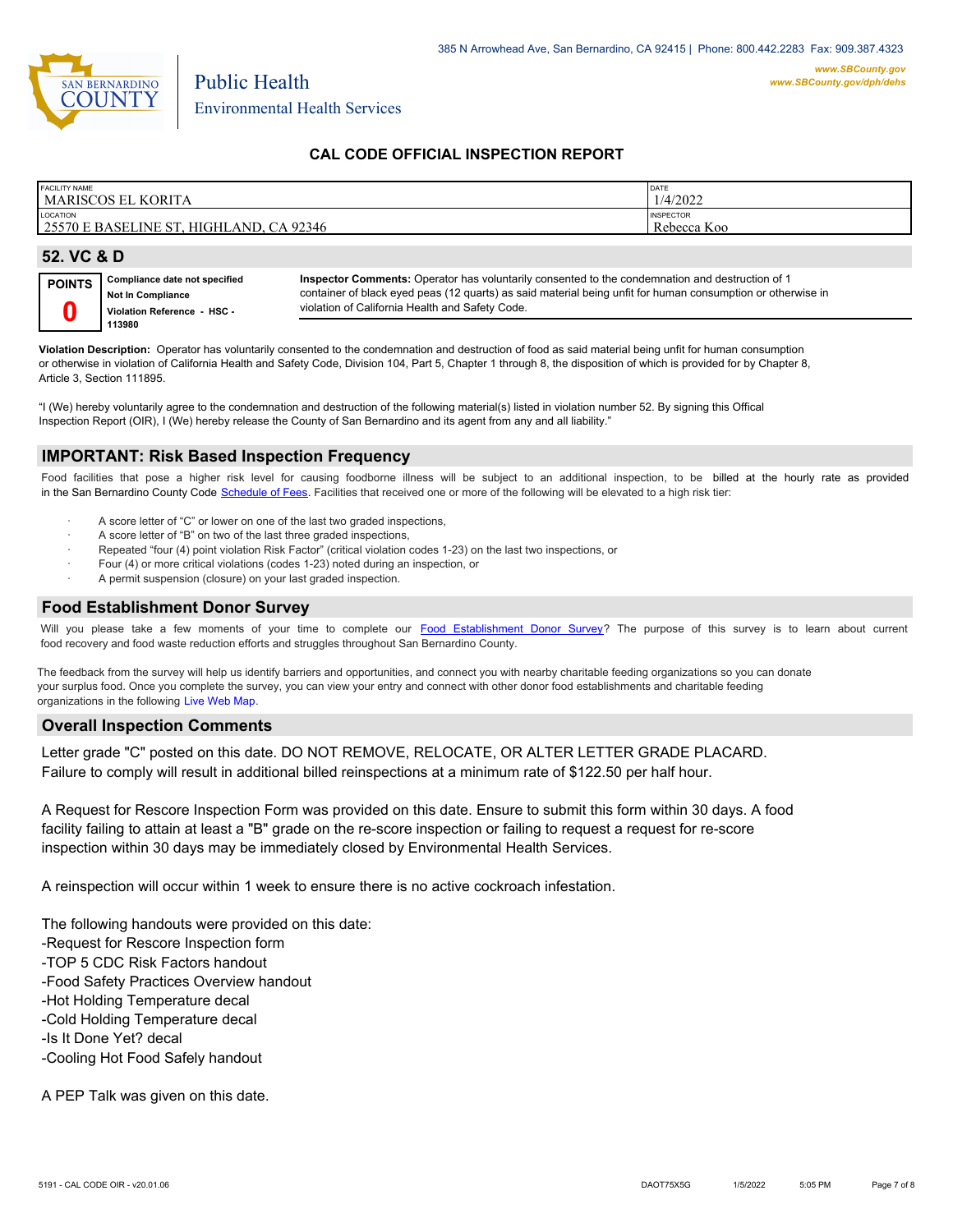

| <b>FACILITY NAME</b><br>  MARISCOS EL<br><b>KORITA</b>         | DATE<br>1/4/2022                |
|----------------------------------------------------------------|---------------------------------|
| LOCATION<br>25570 E BASELINE ST,<br>. CA 92346<br>'. HIGHLAND. | <b>INSPECTOR</b><br>Rebecca Koo |

| 52. VC & D    |                                                                                          |                                                                                                                                                                                                                                                                   |  |  |
|---------------|------------------------------------------------------------------------------------------|-------------------------------------------------------------------------------------------------------------------------------------------------------------------------------------------------------------------------------------------------------------------|--|--|
| <b>POINTS</b> | Compliance date not specified<br><b>Not In Compliance</b><br>Violation Reference - HSC - | Inspector Comments: Operator has voluntarily consented to the condemnation and destruction of 1<br>container of black eyed peas (12 quarts) as said material being unfit for human consumption or otherwise in<br>violation of California Health and Safety Code. |  |  |
|               | 113980                                                                                   |                                                                                                                                                                                                                                                                   |  |  |

**Violation Description:** Operator has voluntarily consented to the condemnation and destruction of food as said material being unfit for human consumption or otherwise in violation of California Health and Safety Code, Division 104, Part 5, Chapter 1 through 8, the disposition of which is provided for by Chapter 8, Article 3, Section 111895.

"I (We) hereby voluntarily agree to the condemnation and destruction of the following material(s) listed in violation number 52. By signing this Offical Inspection Report (OIR), I (We) hereby release the County of San Bernardino and its agent from any and all liability."

### **IMPORTANT: Risk Based Inspection Frequency**

Food facilities that pose a higher risk level for causing foodborne illness will be subject to an additional inspection, to be billed at the hourly rate as provided in the San Bernardino Count[y Code Schedule of Fees. Facilitie](https://codelibrary.amlegal.com/codes/sanbernardino/latest/sanberncty_ca/0-0-0-122474#JD_16.0213B)s that received one or more of the following will be elevated to a high risk tier:

- A score letter of "C" or lower on one of the last two graded inspections,
- A score letter of "B" on two of the last three graded inspections,
- Repeated "four (4) point violation Risk Factor" (critical violation codes 1-23) on the last two inspections, or
- Four (4) or more critical violations (codes 1-23) noted during an inspection, or
- A permit suspension (closure) on your last graded inspection.

### **Food Establishment Donor Survey**

Will you please take a few moments of your time to complete our **Food Establishment Donor Survey**? The purpose of this survey is to learn about current food recovery and food waste reduction efforts and struggles throughout San Bernardino County.

The feedback from the survey will help us identify barriers and opportunities, and connect you with nearby charitable feeding organizations so you can donate your surplus food. Once you complete the survey, you can view your entry and connect with other donor food establishments and charitable feeding organizations in the fol[lowing Live Web Map.](https://arcg.is/WvjGb)

### **Overall Inspection Comments**

Letter grade "C" posted on this date. DO NOT REMOVE, RELOCATE, OR ALTER LETTER GRADE PLACARD. Failure to comply will result in additional billed reinspections at a minimum rate of \$122.50 per half hour.

A Request for Rescore Inspection Form was provided on this date. Ensure to submit this form within 30 days. A food facility failing to attain at least a "B" grade on the re-score inspection or failing to request a request for re-score inspection within 30 days may be immediately closed by Environmental Health Services.

A reinspection will occur within 1 week to ensure there is no active cockroach infestation.

The following handouts were provided on this date: -Request for Rescore Inspection form -TOP 5 CDC Risk Factors handout -Food Safety Practices Overview handout -Hot Holding Temperature decal -Cold Holding Temperature decal -Is It Done Yet? decal -Cooling Hot Food Safely handout

A PEP Talk was given on this date.